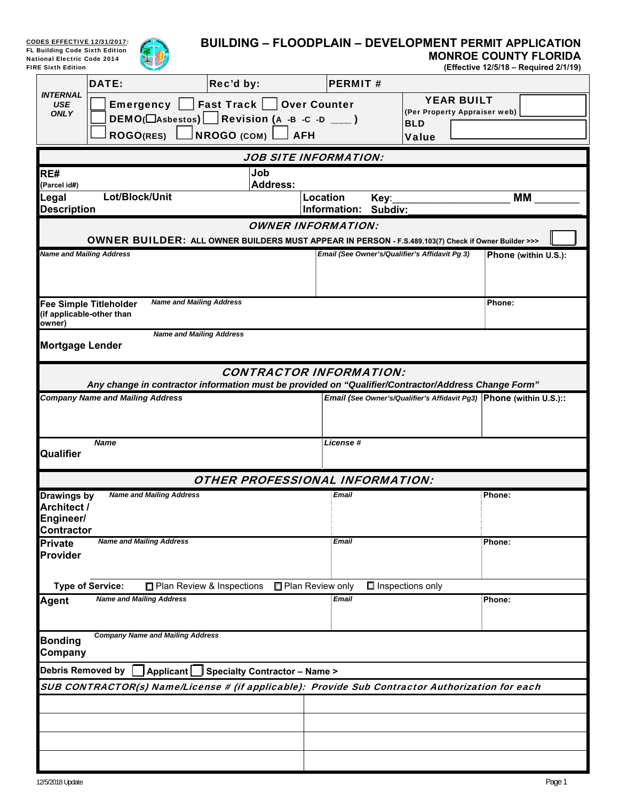| <b>CODES EFFECTIVE 12/31/2017:</b>    |
|---------------------------------------|
| <b>FL Building Code Sixth Edition</b> |
| <b>National Electric Code 2014</b>    |
| <b>FIRE Sixth Edition</b>             |
|                                       |



## **BUILDING – FLOODPLAIN – DEVELOPMENT PERMIT APPLICATION**

**MONROE COUNTY FLORIDA** FIRE Sixth Edition **(Effective 12/5/18 – Required 2/1/19)**

|                                                                                                               | DATE:<br>Rec'd by:                                                                                                                   | <b>PERMIT#</b>                                                                                         |                      |  |  |  |
|---------------------------------------------------------------------------------------------------------------|--------------------------------------------------------------------------------------------------------------------------------------|--------------------------------------------------------------------------------------------------------|----------------------|--|--|--|
| <b>INTERNAL</b><br><b>USE</b><br><b>ONLY</b>                                                                  | Fast Track    <br><b>Emergency</b><br>DEMO( $\Box$ Asbestos) Revision (A -B -C -D $\Box$ )<br>NROGO (COM)<br>ROGO(RES)<br><b>AFH</b> | <b>YEAR BUILT</b><br><b>Over Counter</b><br>(Per Property Appraiser web)<br><b>BLD</b><br><b>Value</b> |                      |  |  |  |
|                                                                                                               |                                                                                                                                      | <b>JOB SITE INFORMATION:</b>                                                                           |                      |  |  |  |
| RE#<br>(Parcel id#)                                                                                           | Job<br><b>Address:</b>                                                                                                               |                                                                                                        |                      |  |  |  |
| Legal<br><b>Description</b>                                                                                   | Lot/Block/Unit                                                                                                                       | Location<br>Key:<br>Information:<br>Subdiv:                                                            | МM                   |  |  |  |
|                                                                                                               | OWNER BUILDER: ALL OWNER BUILDERS MUST APPEAR IN PERSON - F.S.489.103(7) Check if Owner Builder >>>                                  | <b>OWNER INFORMATION:</b>                                                                              |                      |  |  |  |
| <b>Name and Mailing Address</b>                                                                               |                                                                                                                                      | Email (See Owner's/Qualifier's Affidavit Pg 3)                                                         | Phone (within U.S.): |  |  |  |
| owner)                                                                                                        | <b>Name and Mailing Address</b><br><b>Fee Simple Titleholder</b><br>(if applicable-other than                                        |                                                                                                        | Phone:               |  |  |  |
| <b>Mortgage Lender</b>                                                                                        | <b>Name and Mailing Address</b>                                                                                                      |                                                                                                        |                      |  |  |  |
|                                                                                                               | "Any change in contractor information must be provided on "Qualifier/Contractor/Address Change Form                                  | <b>CONTRACTOR INFORMATION:</b>                                                                         |                      |  |  |  |
|                                                                                                               | <b>Company Name and Mailing Address</b>                                                                                              | Email (See Owner's/Qualifier's Affidavit Pg3) Phone (within U.S.):                                     |                      |  |  |  |
| Qualifier                                                                                                     | <b>Name</b>                                                                                                                          | License #                                                                                              |                      |  |  |  |
|                                                                                                               |                                                                                                                                      | <b>OTHER PROFESSIONAL INFORMATION:</b>                                                                 |                      |  |  |  |
| <b>Drawings by</b><br><b>Architect /</b><br>Engineer/<br><b>Contractor</b>                                    | <b>Name and Mailing Address</b>                                                                                                      | <b>Email</b>                                                                                           | Phone:               |  |  |  |
| Private<br>Provider                                                                                           | <b>Name and Mailing Address</b>                                                                                                      | <b>Email</b>                                                                                           | Phone:               |  |  |  |
| $\blacksquare$ Inspections only<br><b>Type of Service:</b><br>Plan Review & Inspections<br>□ Plan Review only |                                                                                                                                      |                                                                                                        |                      |  |  |  |
| <b>Agent</b>                                                                                                  | <b>Name and Mailing Address</b>                                                                                                      | <b>Email</b>                                                                                           | Phone:               |  |  |  |
| <b>Bonding</b><br>Company                                                                                     | <b>Company Name and Mailing Address</b>                                                                                              |                                                                                                        |                      |  |  |  |
| <b>Debris Removed by</b>                                                                                      | Applicant<br><b>Specialty Contractor - Name &gt;</b>                                                                                 |                                                                                                        |                      |  |  |  |
|                                                                                                               | SUB CONTRACTOR(s) Name/License # (if applicable): Provide Sub Contractor Authorization for each                                      |                                                                                                        |                      |  |  |  |
|                                                                                                               |                                                                                                                                      |                                                                                                        |                      |  |  |  |
|                                                                                                               |                                                                                                                                      |                                                                                                        |                      |  |  |  |
|                                                                                                               |                                                                                                                                      |                                                                                                        |                      |  |  |  |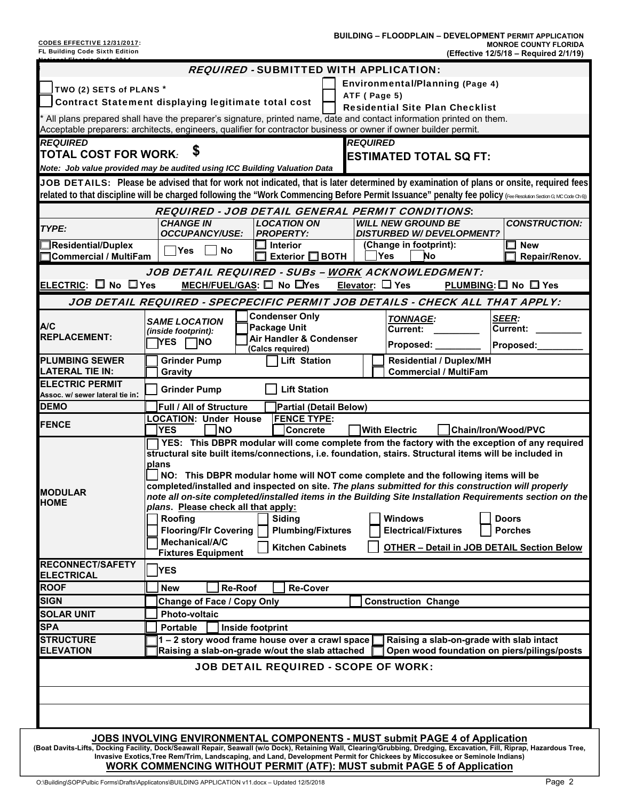**CODES EFFECTIVE 12/31/2017:** 

|                                              | <b>REQUIRED - SUBMITTED WITH APPLICATION:</b>                                                                                                                                                                                                                                                           |  |  |  |  |  |  |
|----------------------------------------------|---------------------------------------------------------------------------------------------------------------------------------------------------------------------------------------------------------------------------------------------------------------------------------------------------------|--|--|--|--|--|--|
| TWO (2) SETS of PLANS *                      | <b>Environmental/Planning (Page 4)</b>                                                                                                                                                                                                                                                                  |  |  |  |  |  |  |
|                                              | ATF (Page 5)<br>Contract Statement displaying legitimate total cost                                                                                                                                                                                                                                     |  |  |  |  |  |  |
|                                              | <b>Residential Site Plan Checklist</b>                                                                                                                                                                                                                                                                  |  |  |  |  |  |  |
|                                              | * All plans prepared shall have the preparer's signature, printed name, date and contact information printed on them.<br>Acceptable preparers: architects, engineers, qualifier for contractor business or owner if owner builder permit.                                                               |  |  |  |  |  |  |
| <b>REQUIRED</b>                              | <b>REQUIRED</b>                                                                                                                                                                                                                                                                                         |  |  |  |  |  |  |
| $\,$ TOTAL COST FOR WORK $_2$                | \$<br><b>ESTIMATED TOTAL SQ FT:</b>                                                                                                                                                                                                                                                                     |  |  |  |  |  |  |
|                                              | Note: Job value provided may be audited using ICC Building Valuation Data                                                                                                                                                                                                                               |  |  |  |  |  |  |
|                                              | JOB DETAILS: Please be advised that for work not indicated, that is later determined by examination of plans or onsite, required fees<br>related to that discipline will be charged following the "Work Commencing Before Permit Issuance" penalty fee policy (Fee Resolution Section G; MC Code Ch 6)) |  |  |  |  |  |  |
|                                              | <b>REQUIRED - JOB DETAIL GENERAL PERMIT CONDITIONS:</b>                                                                                                                                                                                                                                                 |  |  |  |  |  |  |
| TYPE:                                        | <b>CHANGE IN</b><br><b>CONSTRUCTION:</b><br><b>LOCATION ON</b><br><b>WILL NEW GROUND BE</b>                                                                                                                                                                                                             |  |  |  |  |  |  |
| Residential/Duplex                           | <b>OCCUPANCY/USE:</b><br><b>PROPERTY:</b><br><b>DISTURBED W/ DEVELOPMENT?</b><br>$\square$ New<br><b>Interior</b><br>(Change in footprint):<br>- 1                                                                                                                                                      |  |  |  |  |  |  |
| □Commercial / MultiFam                       | <b>No</b><br><b>Yes</b><br>Exterior $\Box$ BOTH<br><b>Yes</b><br><b>No</b><br>Repair/Renov.                                                                                                                                                                                                             |  |  |  |  |  |  |
|                                              | JOB DETAIL REQUIRED - SUBs - WORK ACKNOWLEDGMENT:                                                                                                                                                                                                                                                       |  |  |  |  |  |  |
| ELECTRIC: $\square$ No $\square$ Yes         | MECH/FUEL/GAS: □ No □Yes<br>Elevator: $\Box$ Yes<br>PLUMBING: $\Box$ No $\Box$ Yes                                                                                                                                                                                                                      |  |  |  |  |  |  |
|                                              | JOB DETAIL REQUIRED - SPECPECIFIC PERMIT JOB DETAILS - CHECK ALL THAT APPLY:                                                                                                                                                                                                                            |  |  |  |  |  |  |
|                                              | <b>Condenser Only</b><br><b>SEER:</b><br><b>TONNAGE:</b><br><b>SAME LOCATION</b>                                                                                                                                                                                                                        |  |  |  |  |  |  |
| A/C                                          | <b>Package Unit</b><br><b>Current:</b><br><b>Current:</b><br>(inside footprint):                                                                                                                                                                                                                        |  |  |  |  |  |  |
| <b>REPLACEMENT:</b>                          | Air Handler & Condenser<br>YES.<br>NO]<br>Proposed:<br>Proposed:<br>(Calcs required)                                                                                                                                                                                                                    |  |  |  |  |  |  |
| <b>PLUMBING SEWER</b>                        | <b>Lift Station</b><br><b>Residential / Duplex/MH</b><br><b>Grinder Pump</b>                                                                                                                                                                                                                            |  |  |  |  |  |  |
| <b>LATERAL TIE IN:</b>                       | <b>Commercial / MultiFam</b><br>Gravity                                                                                                                                                                                                                                                                 |  |  |  |  |  |  |
| <b>ELECTRIC PERMIT</b>                       | <b>Lift Station</b><br><b>Grinder Pump</b>                                                                                                                                                                                                                                                              |  |  |  |  |  |  |
| Assoc. w/ sewer lateral tie in:              |                                                                                                                                                                                                                                                                                                         |  |  |  |  |  |  |
| <b>DEMO</b>                                  | <b>Full / All of Structure</b><br>Partial (Detail Below)                                                                                                                                                                                                                                                |  |  |  |  |  |  |
| <b>FENCE</b>                                 | <b>LOCATION: Under House</b><br><b>FENCE TYPE:</b><br><b>YES</b><br><b>Concrete</b><br><b>NO</b><br><b>With Electric</b><br>Chain/Iron/Wood/PVC                                                                                                                                                         |  |  |  |  |  |  |
|                                              | YES: This DBPR modular will come complete from the factory with the exception of any required                                                                                                                                                                                                           |  |  |  |  |  |  |
|                                              | structural site built items/connections, i.e. foundation, stairs. Structural items will be included in                                                                                                                                                                                                  |  |  |  |  |  |  |
|                                              | plans                                                                                                                                                                                                                                                                                                   |  |  |  |  |  |  |
|                                              | NO: This DBPR modular home will NOT come complete and the following items will be<br>completed/installed and inspected on site. The plans submitted for this construction will properly                                                                                                                 |  |  |  |  |  |  |
| <b>MODULAR</b>                               | note all on-site completed/installed items in the Building Site Installation Requirements section on the                                                                                                                                                                                                |  |  |  |  |  |  |
| <b>HOME</b>                                  | plans. Please check all that apply:                                                                                                                                                                                                                                                                     |  |  |  |  |  |  |
|                                              | Roofing<br><b>Siding</b><br><b>Windows</b><br><b>Doors</b>                                                                                                                                                                                                                                              |  |  |  |  |  |  |
|                                              | <b>Flooring/Flr Covering</b><br><b>Plumbing/Fixtures</b><br><b>Porches</b><br><b>Electrical/Fixtures</b><br>Mechanical/A/C                                                                                                                                                                              |  |  |  |  |  |  |
|                                              | <b>Kitchen Cabinets</b><br><b>OTHER - Detail in JOB DETAIL Section Below</b><br><b>Fixtures Equipment</b>                                                                                                                                                                                               |  |  |  |  |  |  |
| <b>RECONNECT/SAFETY</b><br><b>ELECTRICAL</b> | <b>YES</b>                                                                                                                                                                                                                                                                                              |  |  |  |  |  |  |
| <b>ROOF</b>                                  | <b>Re-Roof</b><br><b>Re-Cover</b><br><b>New</b>                                                                                                                                                                                                                                                         |  |  |  |  |  |  |
| <b>SIGN</b>                                  | Change of Face / Copy Only<br><b>Construction Change</b>                                                                                                                                                                                                                                                |  |  |  |  |  |  |
| <b>SOLAR UNIT</b>                            | <b>Photo-voltaic</b>                                                                                                                                                                                                                                                                                    |  |  |  |  |  |  |
| <b>SPA</b>                                   | <b>Portable</b><br>Inside footprint                                                                                                                                                                                                                                                                     |  |  |  |  |  |  |
| <b>STRUCTURE</b>                             | 1-2 story wood frame house over a crawl space<br>Raising a slab-on-grade with slab intact                                                                                                                                                                                                               |  |  |  |  |  |  |
| <b>ELEVATION</b>                             | Raising a slab-on-grade w/out the slab attached<br>Open wood foundation on piers/pilings/posts                                                                                                                                                                                                          |  |  |  |  |  |  |
|                                              | <b>JOB DETAIL REQUIRED - SCOPE OF WORK:</b>                                                                                                                                                                                                                                                             |  |  |  |  |  |  |
|                                              |                                                                                                                                                                                                                                                                                                         |  |  |  |  |  |  |
|                                              |                                                                                                                                                                                                                                                                                                         |  |  |  |  |  |  |
|                                              |                                                                                                                                                                                                                                                                                                         |  |  |  |  |  |  |
|                                              |                                                                                                                                                                                                                                                                                                         |  |  |  |  |  |  |

**JOBS INVOLVING ENVIRONMENTAL COMPONENTS - MUST submit PAGE 4 of Application (Boat Davits-Lifts, Docking Facility, Dock/Seawall Repair, Seawall (w/o Dock), Retaining Wall, Clearing/Grubbing, Dredging, Excavation, Fill, Riprap, Hazardous Tree, Invasive Exotics,Tree Rem/Trim, Landscaping, and Land, Development Permit for Chickees by Miccosukee or Seminole Indians) WORK COMMENCING WITHOUT PERMIT (ATF): MUST submit PAGE 5 of Application**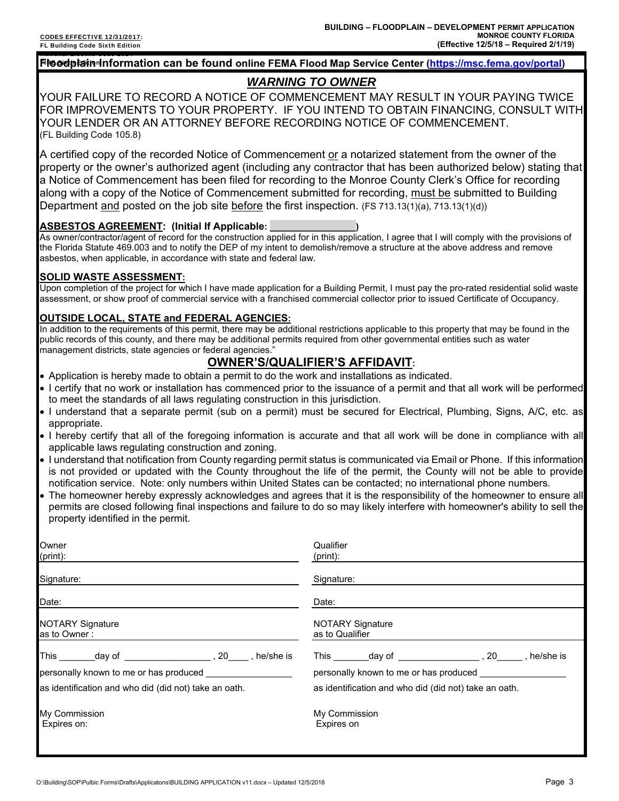# <del>- Incode</del> Electric Code 2014 to 2014</del><br>Floodplain Information can be found online FEMA Flood Map Service Center [\(https://msc.fema.gov/portal\)](https://msc.fema.gov/portal)

### *WARNING TO OWNER*

 YOUR LENDER OR AN ATTORNEY BEFORE RECORDING NOTICE OF COMMENCEMENT. YOUR FAILURE TO RECORD A NOTICE OF COMMENCEMENT MAY RESULT IN YOUR PAYING TWICE FOR IMPROVEMENTS TO YOUR PROPERTY. IF YOU INTEND TO OBTAIN FINANCING, CONSULT WITH (FL Building Code 105.8)

A certified copy of the recorded Notice of Commencement or a notarized statement from the owner of the property or the owner's authorized agent (including any contractor that has been authorized below) stating that a Notice of Commencement has been filed for recording to the Monroe County Clerk's Office for recording along with a copy of the Notice of Commencement submitted for recording, must be submitted to Building Department and posted on the job site before the first inspection. (FS 713.13(1)(a), 713.13(1)(d))

### **ASBESTOS AGREEMENT: (Initial If Applicable:**

As owner/contractor/agent of record for the construction applied for in this application, I agree that I will comply with the provisions of the Florida Statute 469.003 and to notify the DEP of my intent to demolish/remove a structure at the above address and remove asbestos, when applicable, in accordance with state and federal law.

### **SOLID WASTE ASSESSMENT:**

 assessment, or show proof of commercial service with a franchised commercial collector prior to issued Certificate of Occupancy. Upon completion of the project for which I have made application for a Building Permit, I must pay the pro-rated residential solid waste

### **OUTSIDE LOCAL, STATE and FEDERAL AGENCIES:**

In addition to the requirements of this permit, there may be additional restrictions applicable to this property that may be found in the public records of this county, and there may be additional permits required from other governmental entities such as water management districts, state agencies or federal agencies."

### **OWNER'S/QUALIFIER'S AFFIDAVIT:**

- Application is hereby made to obtain a permit to do the work and installations as indicated.
- I certify that no work or installation has commenced prior to the issuance of a permit and that all work will be performed to meet the standards of all laws regulating construction in this jurisdiction.
- I understand that a separate permit (sub on a permit) must be secured for Electrical, Plumbing, Signs, A/C, etc. as appropriate.
- I hereby certify that all of the foregoing information is accurate and that all work will be done in compliance with all applicable laws regulating construction and zoning.
- I understand that notification from County regarding permit status is communicated via Email or Phone. If this information is not provided or updated with the County throughout the life of the permit, the County will not be able to provide notification service. Note: only numbers within United States can be contacted; no international phone numbers.
- The homeowner hereby expressly acknowledges and agrees that it is the responsibility of the homeowner to ensure all permits are closed following final inspections and failure to do so may likely interfere with homeowner's ability to sell the property identified in the permit.

| Owner                                                           | Qualifier                                                                                                                                                                                                                      |
|-----------------------------------------------------------------|--------------------------------------------------------------------------------------------------------------------------------------------------------------------------------------------------------------------------------|
| (print):                                                        | $(print)$ :                                                                                                                                                                                                                    |
| Signature:                                                      | Signature:                                                                                                                                                                                                                     |
| Date:                                                           | Date:                                                                                                                                                                                                                          |
| <b>NOTARY Signature</b>                                         | <b>NOTARY Signature</b>                                                                                                                                                                                                        |
| as to Owner:                                                    | as to Qualifier                                                                                                                                                                                                                |
| This _________ day of ___________________ , 20_____ , he/she is | This day of the set of the set of the set of the set of the set of the set of the set of the set of the set of the set of the set of the set of the set of the set of the set of the set of the set of the set of the set of t |
| personally known to me or has produced                          | personally known to me or has produced                                                                                                                                                                                         |
| as identification and who did (did not) take an oath.           | as identification and who did (did not) take an oath.                                                                                                                                                                          |
| My Commission                                                   | My Commission                                                                                                                                                                                                                  |
| Expires on:                                                     | Expires on                                                                                                                                                                                                                     |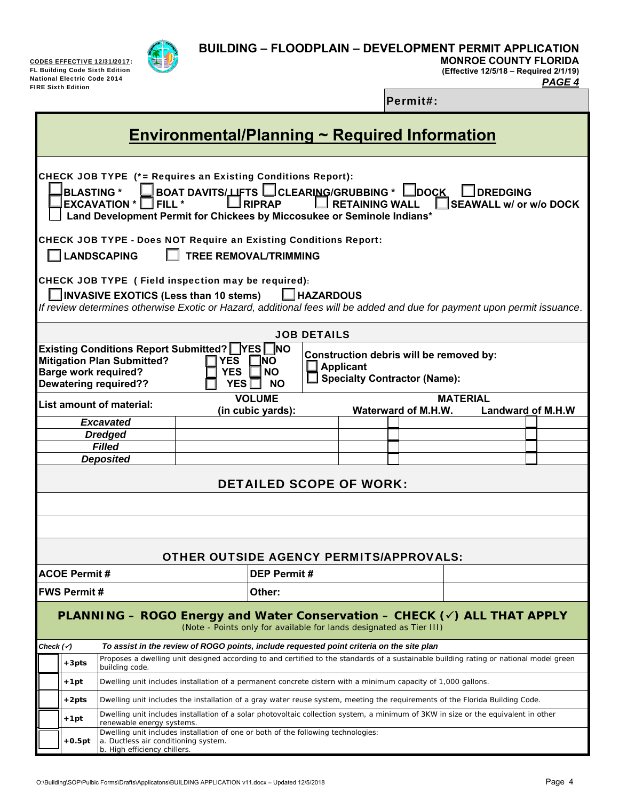

## **BUILDING – FLOODPLAIN – DEVELOPMENT PERMIT APPLICATION**

**CODES EFFECTIVE 12/31/2017: The set of the set of the set of the set of the monde COUNTY FLORIDA** 

(Effective 12/5/18 – Required 2/1/19)

<u>FIRE Sixth Edition</u><br>
Radional Electric Code 2014<br>
FIRE Sixth Edition<br>
FIRE Sixth Edition<br>
PAGE 4

Permit#:

| Environmental/Planning $\sim$ Required Information                                                                                                                                                                                                                                                                                                                                                                                                                      |                                                                                                                                                                                                                                                                             |                                                |                                    |                    |  |                     |                 |                          |  |
|-------------------------------------------------------------------------------------------------------------------------------------------------------------------------------------------------------------------------------------------------------------------------------------------------------------------------------------------------------------------------------------------------------------------------------------------------------------------------|-----------------------------------------------------------------------------------------------------------------------------------------------------------------------------------------------------------------------------------------------------------------------------|------------------------------------------------|------------------------------------|--------------------|--|---------------------|-----------------|--------------------------|--|
| CHECK JOB TYPE (*= Requires an Existing Conditions Report):<br>BOAT DAVITS/LIFTS LCLEARING/GRUBBING * LDOCK<br><b>DREDGING</b><br><b>BLASTING *</b><br>$EXCAVATION * \Box FIL.*$<br><b>RIPRAP</b><br><b>RETAINING WALL</b><br><b>SEAWALL w/ or w/o DOCK</b><br>Land Development Permit for Chickees by Miccosukee or Seminole Indians*<br><b>CHECK JOB TYPE - Does NOT Require an Existing Conditions Report:</b><br><b>TREE REMOVAL/TRIMMING</b><br><b>LANDSCAPING</b> |                                                                                                                                                                                                                                                                             |                                                |                                    |                    |  |                     |                 |                          |  |
|                                                                                                                                                                                                                                                                                                                                                                                                                                                                         | CHECK JOB TYPE (Field inspection may be required):<br>INVASIVE EXOTICS (Less than 10 stems)<br>If review determines otherwise Exotic or Hazard, additional fees will be added and due for payment upon permit issuance.                                                     |                                                |                                    | $\Box$ HAZARDOUS   |  |                     |                 |                          |  |
|                                                                                                                                                                                                                                                                                                                                                                                                                                                                         |                                                                                                                                                                                                                                                                             |                                                |                                    | <b>JOB DETAILS</b> |  |                     |                 |                          |  |
| Existing Conditions Report Submitted?   YES   NO<br>Construction debris will be removed by:<br><b>Mitigation Plan Submitted?</b><br>INO<br><b>YES</b><br><b>Applicant</b><br><b>Barge work required?</b><br><b>YES</b><br><b>NO</b><br><b>Specialty Contractor (Name):</b><br><b>Dewatering required??</b><br><b>YES</b><br><b>NO</b>                                                                                                                                   |                                                                                                                                                                                                                                                                             |                                                |                                    |                    |  |                     |                 |                          |  |
|                                                                                                                                                                                                                                                                                                                                                                                                                                                                         | <b>List amount of material:</b>                                                                                                                                                                                                                                             |                                                | <b>VOLUME</b><br>(in cubic yards): |                    |  | Waterward of M.H.W. | <b>MATERIAL</b> | <b>Landward of M.H.W</b> |  |
|                                                                                                                                                                                                                                                                                                                                                                                                                                                                         | <b>Excavated</b>                                                                                                                                                                                                                                                            |                                                |                                    |                    |  |                     |                 |                          |  |
|                                                                                                                                                                                                                                                                                                                                                                                                                                                                         | <b>Dredged</b>                                                                                                                                                                                                                                                              |                                                |                                    |                    |  |                     |                 |                          |  |
|                                                                                                                                                                                                                                                                                                                                                                                                                                                                         | <b>Filled</b>                                                                                                                                                                                                                                                               |                                                |                                    |                    |  |                     |                 |                          |  |
|                                                                                                                                                                                                                                                                                                                                                                                                                                                                         | <b>Deposited</b>                                                                                                                                                                                                                                                            |                                                | <b>DETAILED SCOPE OF WORK:</b>     |                    |  |                     |                 |                          |  |
|                                                                                                                                                                                                                                                                                                                                                                                                                                                                         |                                                                                                                                                                                                                                                                             |                                                |                                    |                    |  |                     |                 |                          |  |
|                                                                                                                                                                                                                                                                                                                                                                                                                                                                         |                                                                                                                                                                                                                                                                             |                                                |                                    |                    |  |                     |                 |                          |  |
|                                                                                                                                                                                                                                                                                                                                                                                                                                                                         |                                                                                                                                                                                                                                                                             | <b>OTHER OUTSIDE AGENCY PERMITS/APPROVALS:</b> |                                    |                    |  |                     |                 |                          |  |
| <b>ACOE Permit#</b>                                                                                                                                                                                                                                                                                                                                                                                                                                                     |                                                                                                                                                                                                                                                                             |                                                | <b>DEP Permit#</b>                 |                    |  |                     |                 |                          |  |
| <b>FWS Permit#</b>                                                                                                                                                                                                                                                                                                                                                                                                                                                      |                                                                                                                                                                                                                                                                             |                                                | Other:                             |                    |  |                     |                 |                          |  |
| <b>PLANNING – ROGO Energy and Water Conservation – CHECK (<math>\check{\phantom{1}}</math>) ALL THAT APPLY</b><br>(Note - Points only for available for lands designated as Tier III)                                                                                                                                                                                                                                                                                   |                                                                                                                                                                                                                                                                             |                                                |                                    |                    |  |                     |                 |                          |  |
| To assist in the review of ROGO points, include requested point criteria on the site plan<br>Check $(\checkmark)$                                                                                                                                                                                                                                                                                                                                                       |                                                                                                                                                                                                                                                                             |                                                |                                    |                    |  |                     |                 |                          |  |
|                                                                                                                                                                                                                                                                                                                                                                                                                                                                         | Proposes a dwelling unit designed according to and certified to the standards of a sustainable building rating or national model green<br>$+3pts$<br>building code.                                                                                                         |                                                |                                    |                    |  |                     |                 |                          |  |
|                                                                                                                                                                                                                                                                                                                                                                                                                                                                         | Dwelling unit includes installation of a permanent concrete cistern with a minimum capacity of 1,000 gallons.<br>+1pt                                                                                                                                                       |                                                |                                    |                    |  |                     |                 |                          |  |
|                                                                                                                                                                                                                                                                                                                                                                                                                                                                         | +2pts<br>Dwelling unit includes the installation of a gray water reuse system, meeting the requirements of the Florida Building Code.<br>Dwelling unit includes installation of a solar photovoltaic collection system, a minimum of 3KW in size or the equivalent in other |                                                |                                    |                    |  |                     |                 |                          |  |
| +1pt                                                                                                                                                                                                                                                                                                                                                                                                                                                                    | renewable energy systems.                                                                                                                                                                                                                                                   |                                                |                                    |                    |  |                     |                 |                          |  |
| Dwelling unit includes installation of one or both of the following technologies:<br>a. Ductless air conditioning system.<br>+0.5pt<br>b. High efficiency chillers.                                                                                                                                                                                                                                                                                                     |                                                                                                                                                                                                                                                                             |                                                |                                    |                    |  |                     |                 |                          |  |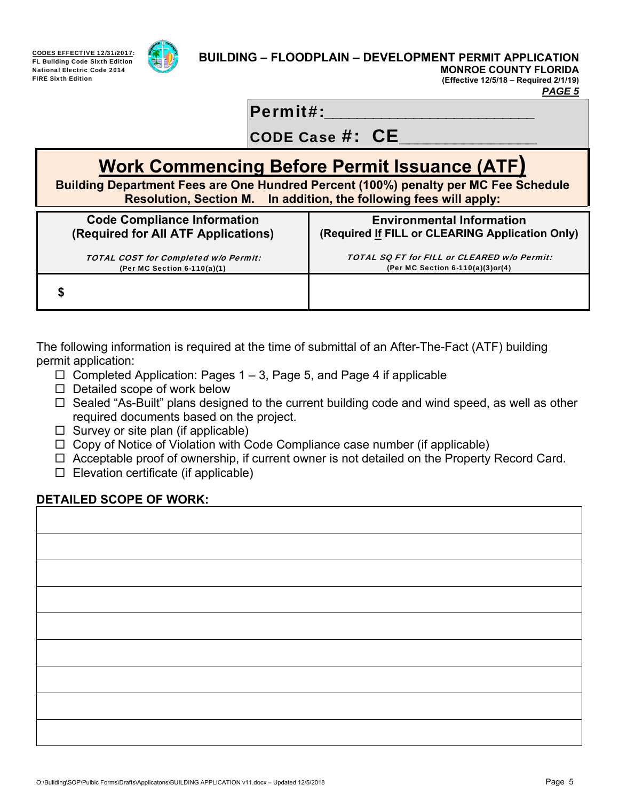



## CODES EFFECTIVE 12/31/2017: **BUILDING – FLOODPLAIN – DEVELOPMENT PERMIT APPLICATION**

National Electric Code 2014 **MONROE COUNTY FLORIDA**<br>FIRE Sixth Edition FIRE Sixth Edition **(Effective 12/5/18 – Required 2/1/19)**

*PAGE 5* 

Permit#:

# CODE Case #: CE

# **Work Commencing Before Permit Issuance (ATF)**

**Building Department Fees are One Hundred Percent (100%) penalty per MC Fee Schedule Resolution, Section M. In addition, the following fees will apply:**

| <b>Code Compliance Information</b>          | <b>Environmental Information</b>                   |  |  |  |  |
|---------------------------------------------|----------------------------------------------------|--|--|--|--|
| (Required for All ATF Applications)         | (Required If FILL or CLEARING Application Only)    |  |  |  |  |
| <b>TOTAL COST for Completed w/o Permit:</b> | <b>TOTAL SO FT for FILL or CLEARED w/o Permit:</b> |  |  |  |  |
| (Per MC Section 6-110(a)(1)                 | (Per MC Section 6-110(a)(3)or(4)                   |  |  |  |  |
|                                             |                                                    |  |  |  |  |

The following information is required at the time of submittal of an After-The-Fact (ATF) building permit application:

- $\Box$  Completed Application: Pages 1 3, Page 5, and Page 4 if applicable
- $\Box$  Detailed scope of work below
- □ Sealed "As-Built" plans designed to the current building code and wind speed, as well as other required documents based on the project.
- $\Box$  Survey or site plan (if applicable)
- $\Box$  Copy of Notice of Violation with Code Compliance case number (if applicable)
- $\Box$  Acceptable proof of ownership, if current owner is not detailed on the Property Record Card.
- $\Box$  Elevation certificate (if applicable)

## **DETAILED SCOPE OF WORK:**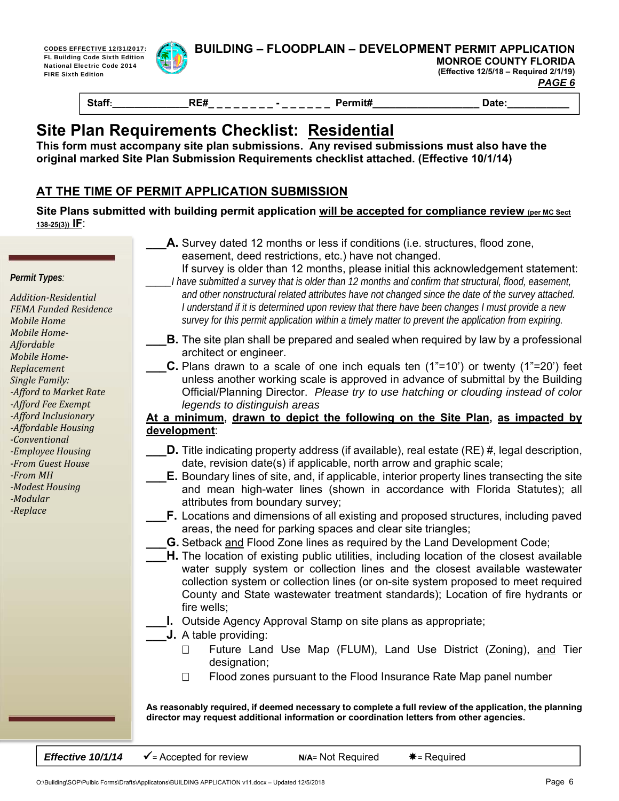



CODES EFFECTIVE 12/31/2017: **BUILDING – FLOODPLAIN – DEVELOPMENT PERMIT APPLICATION**<br>FL Building Code Sixth Edition

FL Building Code Sixth Edition **MONROE COUNTY FLORIDA** FIRE Sixth Edition **(Effective 12/5/18 – Required 2/1/19)** *PAGE 6* 

**Staff:\_\_\_\_\_\_\_\_\_\_\_\_\_\_\_\_\_RE#\_ \_ \_ \_ \_ \_ \_ \_ - \_ \_ \_ \_ \_ \_ Permit#\_\_\_\_\_\_\_\_\_\_\_\_\_\_\_\_\_\_\_ Date:\_\_\_\_\_\_\_\_\_\_\_**

# **Site Plan Requirements Checklist: Residential**

**This form must accompany site plan submissions. Any revised submissions must also have the original marked Site Plan Submission Requirements checklist attached. (Effective 10/1/14)**

## **AT THE TIME OF PERMIT APPLICATION SUBMISSION**

 **Site Plans submitted with building permit application will be accepted for compliance review (per MC Sect 138-25(3)) IF**:

### *Permit Types:*

 *FEMA Funded Residence Mobile Home Single Family: ‐Afford to Market Rate ‐Afford Fee Exempt ‐Affordable Housing ‐Employee Housing ‐From Guest House ‐From MH ‐Modest Housing ‐Replace Addition‐Residential Mobile Home‐ Affordable Mobile Home‐ Replacement ‐Afford Inclusionary ‐Conventional ‐Modular*

- **A.** Survey dated 12 months or less if conditions (i.e. structures, flood zone, easement, deed restrictions, etc.) have not changed.
- If survey is older than 12 months, please initial this acknowledgement statement: *\_\_\_\_\_I have submitted a survey that is older than 12 months and confirm that structural, flood, easement, and other nonstructural related attributes have not changed since the date of the survey attached. I understand if it is determined upon review that there have been changes I must provide a new survey for this permit application within a timely matter to prevent the application from expiring.*
- **\_\_\_B.** The site plan shall be prepared and sealed when required by law by a professional architect or engineer.
	- **C.** Plans drawn to a scale of one inch equals ten (1"=10') or twenty (1"=20') feet unless another working scale is approved in advance of submittal by the Building Official/Planning Director. *Please try to use hatching or clouding instead of color legends to distinguish areas*

### **At a minimum, drawn to depict the following on the Site Plan, as impacted by development**:

- **D.** Title indicating property address (if available), real estate (RE) #, legal description, date, revision date(s) if applicable, north arrow and graphic scale;
- **E.** Boundary lines of site, and, if applicable, interior property lines transecting the site and mean high-water lines (shown in accordance with Florida Statutes); all attributes from boundary survey;
- **\_\_\_F.** Locations and dimensions of all existing and proposed structures, including paved areas, the need for parking spaces and clear site triangles;
	- **G.** Setback and Flood Zone lines as required by the Land Development Code;
- **H.** The location of existing public utilities, including location of the closest available water supply system or collection lines and the closest available wastewater collection system or collection lines (or on-site system proposed to meet required County and State wastewater treatment standards); Location of fire hydrants or fire wells;
- **1.** Outside Agency Approval Stamp on site plans as appropriate;
- **J.** A table providing:
	- □ Future Land Use Map (FLUM), Land Use District (Zoning), and Tier designation;
	- $\Box$  Flood zones pursuant to the Flood Insurance Rate Map panel number

 **As reasonably required, if deemed necessary to complete a full review of the application, the planning director may request additional information or coordination letters from other agencies.**

**Effective 10/1/14** 

 $\checkmark$  = Accepted for review **N/A**= Not Required  $\checkmark$  = Required